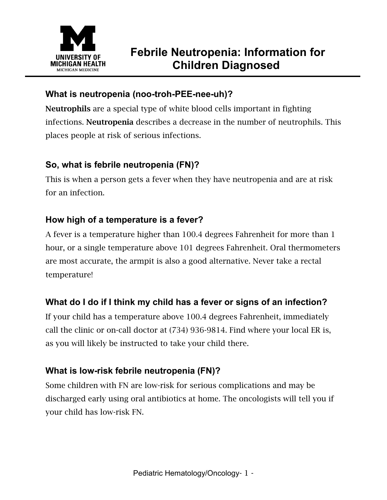

### **What is neutropenia (noo-troh-PEE-nee-uh)?**

Neutrophils are a special type of white blood cells important in fighting infections. Neutropenia describes a decrease in the number of neutrophils. This places people at risk of serious infections.

#### **So, what is febrile neutropenia (FN)?**

This is when a person gets a fever when they have neutropenia and are at risk for an infection.

#### **How high of a temperature is a fever?**

A fever is a temperature higher than 100.4 degrees Fahrenheit for more than 1 hour, or a single temperature above 101 degrees Fahrenheit. Oral thermometers are most accurate, the armpit is also a good alternative. Never take a rectal temperature!

## **What do I do if I think my child has a fever or signs of an infection?**

If your child has a temperature above 100.4 degrees Fahrenheit, immediately call the clinic or on-call doctor at (734) 936-9814. Find where your local ER is, as you will likely be instructed to take your child there.

## **What is low-risk febrile neutropenia (FN)?**

Some children with FN are low-risk for serious complications and may be discharged early using oral antibiotics at home. The oncologists will tell you if your child has low-risk FN.